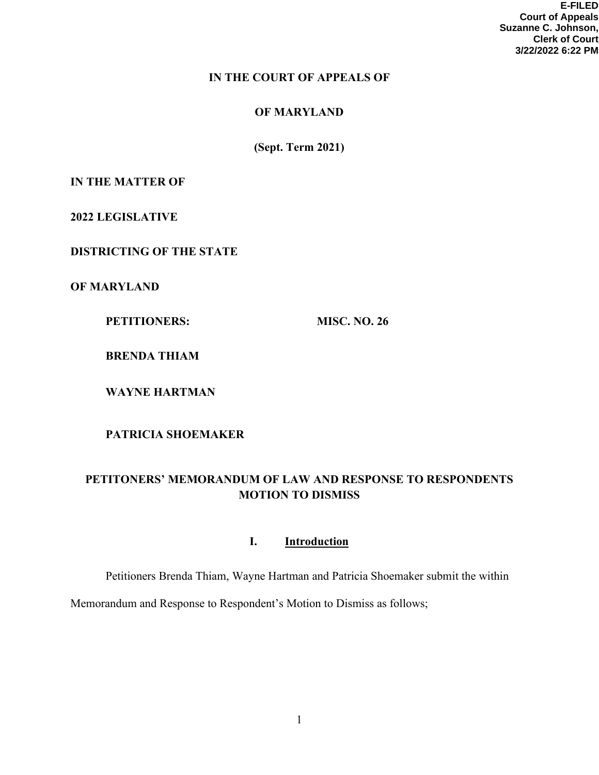**E-FILED Court of Appeals Suzanne C. Johnson, Clerk of Court 3/22/2022 6:22 PM**

# **IN THE COURT OF APPEALS OF**

# **OF MARYLAND**

**(Sept. Term 2021)** 

# **IN THE MATTER OF**

**2022 LEGISLATIVE** 

**DISTRICTING OF THE STATE**

**OF MARYLAND**

**PETITIONERS:** MISC. NO. 26

**BRENDA THIAM**

**WAYNE HARTMAN**

**PATRICIA SHOEMAKER** 

# **PETITONERS' MEMORANDUM OF LAW AND RESPONSE TO RESPONDENTS MOTION TO DISMISS**

# **I. Introduction**

Petitioners Brenda Thiam, Wayne Hartman and Patricia Shoemaker submit the within

Memorandum and Response to Respondent's Motion to Dismiss as follows;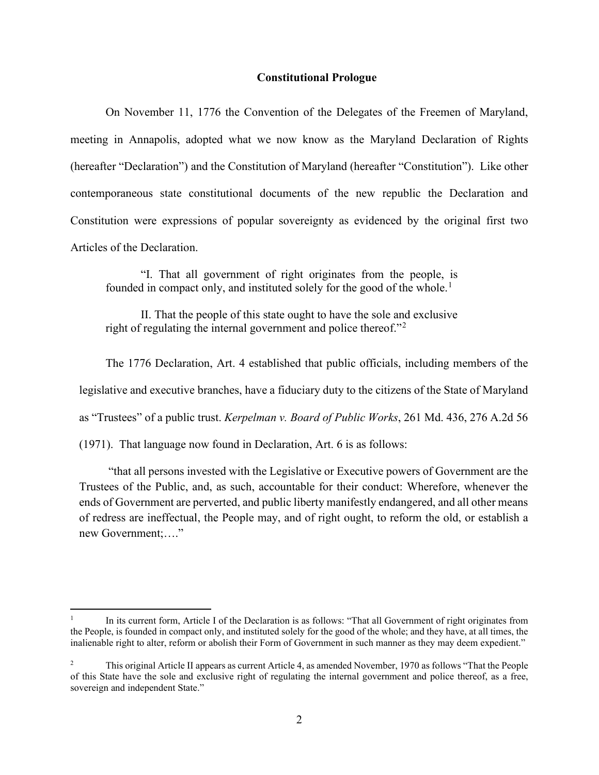### **Constitutional Prologue**

On November 11, 1776 the Convention of the Delegates of the Freemen of Maryland, meeting in Annapolis, adopted what we now know as the Maryland Declaration of Rights (hereafter "Declaration") and the Constitution of Maryland (hereafter "Constitution"). Like other contemporaneous state constitutional documents of the new republic the Declaration and Constitution were expressions of popular sovereignty as evidenced by the original first two Articles of the Declaration.

"I. That all government of right originates from the people, is founded in compact only, and instituted solely for the good of the whole.<sup>[1](#page-1-0)</sup>

II. That the people of this state ought to have the sole and exclusive right of regulating the internal government and police thereof."[2](#page-1-1)

The 1776 Declaration, Art. 4 established that public officials, including members of the

legislative and executive branches, have a fiduciary duty to the citizens of the State of Maryland

as "Trustees" of a public trust. *Kerpelman v. Board of Public Works*, 261 Md. 436, 276 A.2d 56

(1971). That language now found in Declaration, Art. 6 is as follows:

"that all persons invested with the Legislative or Executive powers of Government are the Trustees of the Public, and, as such, accountable for their conduct: Wherefore, whenever the ends of Government are perverted, and public liberty manifestly endangered, and all other means of redress are ineffectual, the People may, and of right ought, to reform the old, or establish a new Government;…."

<span id="page-1-0"></span>In its current form, Article I of the Declaration is as follows: "That all Government of right originates from the People, is founded in compact only, and instituted solely for the good of the whole; and they have, at all times, the inalienable right to alter, reform or abolish their Form of Government in such manner as they may deem expedient."

<span id="page-1-1"></span><sup>&</sup>lt;sup>2</sup> This original Article II appears as current Article 4, as amended November, 1970 as follows "That the People of this State have the sole and exclusive right of regulating the internal government and police thereof, as a free, sovereign and independent State."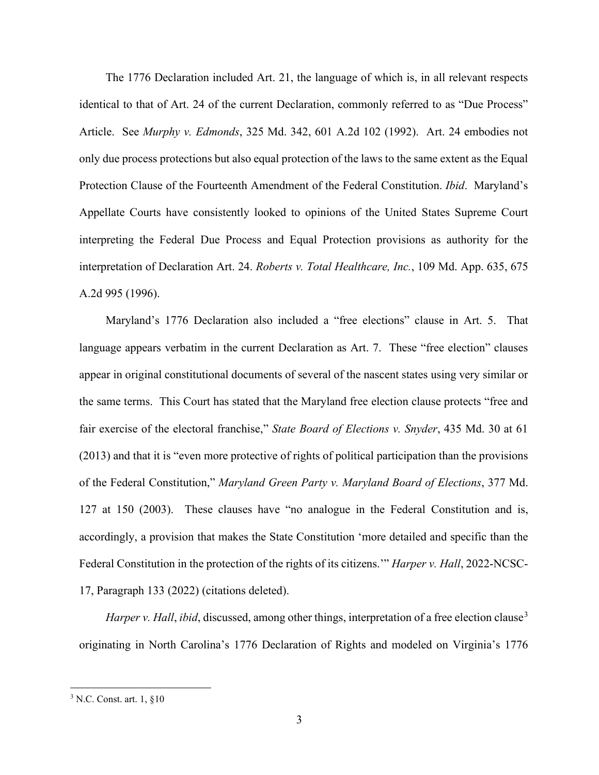The 1776 Declaration included Art. 21, the language of which is, in all relevant respects identical to that of Art. 24 of the current Declaration, commonly referred to as "Due Process" Article. See *Murphy v. Edmonds*, 325 Md. 342, 601 A.2d 102 (1992). Art. 24 embodies not only due process protections but also equal protection of the laws to the same extent as the Equal Protection Clause of the Fourteenth Amendment of the Federal Constitution. *Ibid*. Maryland's Appellate Courts have consistently looked to opinions of the United States Supreme Court interpreting the Federal Due Process and Equal Protection provisions as authority for the interpretation of Declaration Art. 24. *Roberts v. Total Healthcare, Inc.*, 109 Md. App. 635, 675 A.2d 995 (1996).

Maryland's 1776 Declaration also included a "free elections" clause in Art. 5. That language appears verbatim in the current Declaration as Art. 7. These "free election" clauses appear in original constitutional documents of several of the nascent states using very similar or the same terms. This Court has stated that the Maryland free election clause protects "free and fair exercise of the electoral franchise," *State Board of Elections v. Snyder*, 435 Md. 30 at 61 (2013) and that it is "even more protective of rights of political participation than the provisions of the Federal Constitution," *Maryland Green Party v. Maryland Board of Elections*, 377 Md. 127 at 150 (2003). These clauses have "no analogue in the Federal Constitution and is, accordingly, a provision that makes the State Constitution 'more detailed and specific than the Federal Constitution in the protection of the rights of its citizens.'" *Harper v. Hall*, 2022-NCSC-17, Paragraph 133 (2022) (citations deleted).

*Harper v. Hall, ibid, discussed, among other things, interpretation of a free election clause*<sup>[3](#page-2-0)</sup> originating in North Carolina's 1776 Declaration of Rights and modeled on Virginia's 1776

<span id="page-2-0"></span><sup>3</sup> N.C. Const. art. 1, §10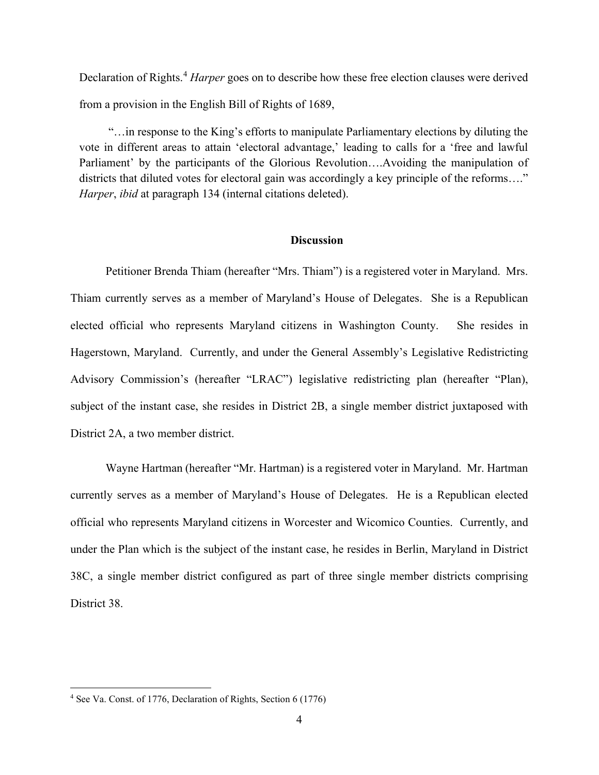Declaration of Rights.<sup>[4](#page-3-0)</sup> *Harper* goes on to describe how these free election clauses were derived from a provision in the English Bill of Rights of 1689,

"…in response to the King's efforts to manipulate Parliamentary elections by diluting the vote in different areas to attain 'electoral advantage,' leading to calls for a 'free and lawful Parliament' by the participants of the Glorious Revolution….Avoiding the manipulation of districts that diluted votes for electoral gain was accordingly a key principle of the reforms...." *Harper*, *ibid* at paragraph 134 (internal citations deleted).

#### **Discussion**

Petitioner Brenda Thiam (hereafter "Mrs. Thiam") is a registered voter in Maryland. Mrs. Thiam currently serves as a member of Maryland's House of Delegates. She is a Republican elected official who represents Maryland citizens in Washington County. She resides in Hagerstown, Maryland. Currently, and under the General Assembly's Legislative Redistricting Advisory Commission's (hereafter "LRAC") legislative redistricting plan (hereafter "Plan), subject of the instant case, she resides in District 2B, a single member district juxtaposed with District 2A, a two member district.

Wayne Hartman (hereafter "Mr. Hartman) is a registered voter in Maryland. Mr. Hartman currently serves as a member of Maryland's House of Delegates. He is a Republican elected official who represents Maryland citizens in Worcester and Wicomico Counties. Currently, and under the Plan which is the subject of the instant case, he resides in Berlin, Maryland in District 38C, a single member district configured as part of three single member districts comprising District 38.

<span id="page-3-0"></span><sup>4</sup> See Va. Const. of 1776, Declaration of Rights, Section 6 (1776)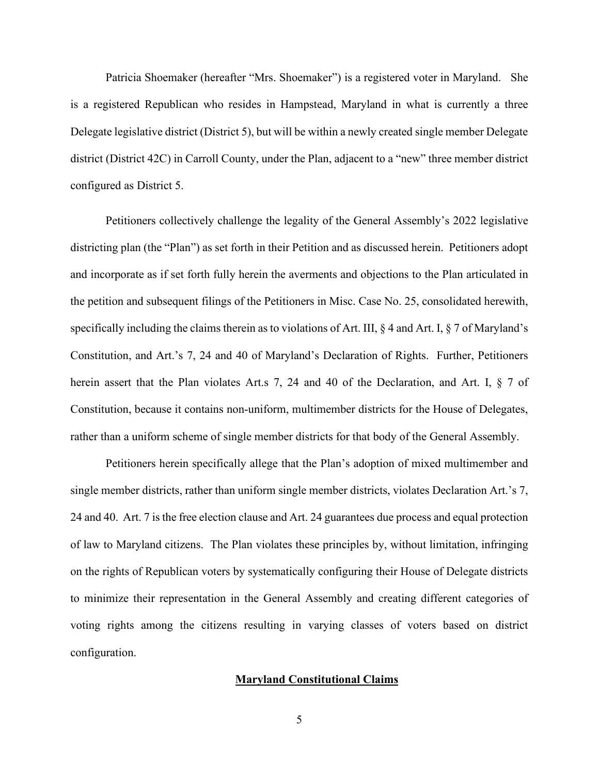Patricia Shoemaker (hereafter "Mrs. Shoemaker") is a registered voter in Maryland. She is a registered Republican who resides in Hampstead, Maryland in what is currently a three Delegate legislative district (District 5), but will be within a newly created single member Delegate district (District 42C) in Carroll County, under the Plan, adjacent to a "new" three member district configured as District 5.

Petitioners collectively challenge the legality of the General Assembly's 2022 legislative districting plan (the "Plan") as set forth in their Petition and as discussed herein. Petitioners adopt and incorporate as if set forth fully herein the averments and objections to the Plan articulated in the petition and subsequent filings of the Petitioners in Misc. Case No. 25, consolidated herewith, specifically including the claims therein as to violations of Art. III,  $\S 4$  and Art. I,  $\S 7$  of Maryland's Constitution, and Art.'s 7, 24 and 40 of Maryland's Declaration of Rights. Further, Petitioners herein assert that the Plan violates Art.s 7, 24 and 40 of the Declaration, and Art. I, § 7 of Constitution, because it contains non-uniform, multimember districts for the House of Delegates, rather than a uniform scheme of single member districts for that body of the General Assembly.

Petitioners herein specifically allege that the Plan's adoption of mixed multimember and single member districts, rather than uniform single member districts, violates Declaration Art.'s 7, 24 and 40. Art. 7 is the free election clause and Art. 24 guarantees due process and equal protection of law to Maryland citizens. The Plan violates these principles by, without limitation, infringing on the rights of Republican voters by systematically configuring their House of Delegate districts to minimize their representation in the General Assembly and creating different categories of voting rights among the citizens resulting in varying classes of voters based on district configuration.

#### **Maryland Constitutional Claims**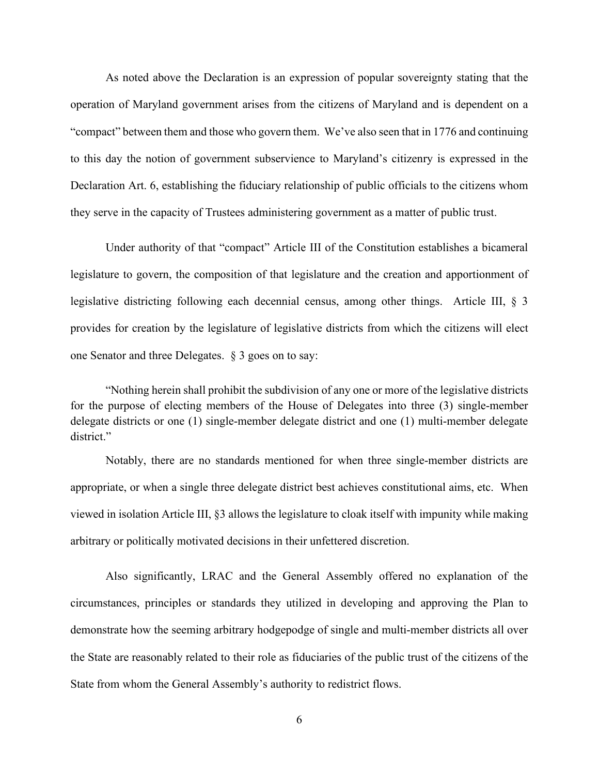As noted above the Declaration is an expression of popular sovereignty stating that the operation of Maryland government arises from the citizens of Maryland and is dependent on a "compact" between them and those who govern them. We've also seen that in 1776 and continuing to this day the notion of government subservience to Maryland's citizenry is expressed in the Declaration Art. 6, establishing the fiduciary relationship of public officials to the citizens whom they serve in the capacity of Trustees administering government as a matter of public trust.

Under authority of that "compact" Article III of the Constitution establishes a bicameral legislature to govern, the composition of that legislature and the creation and apportionment of legislative districting following each decennial census, among other things. Article III, § 3 provides for creation by the legislature of legislative districts from which the citizens will elect one Senator and three Delegates. § 3 goes on to say:

"Nothing herein shall prohibit the subdivision of any one or more of the legislative districts for the purpose of electing members of the House of Delegates into three (3) single-member delegate districts or one (1) single-member delegate district and one (1) multi-member delegate district."

Notably, there are no standards mentioned for when three single-member districts are appropriate, or when a single three delegate district best achieves constitutional aims, etc. When viewed in isolation Article III, §3 allows the legislature to cloak itself with impunity while making arbitrary or politically motivated decisions in their unfettered discretion.

Also significantly, LRAC and the General Assembly offered no explanation of the circumstances, principles or standards they utilized in developing and approving the Plan to demonstrate how the seeming arbitrary hodgepodge of single and multi-member districts all over the State are reasonably related to their role as fiduciaries of the public trust of the citizens of the State from whom the General Assembly's authority to redistrict flows.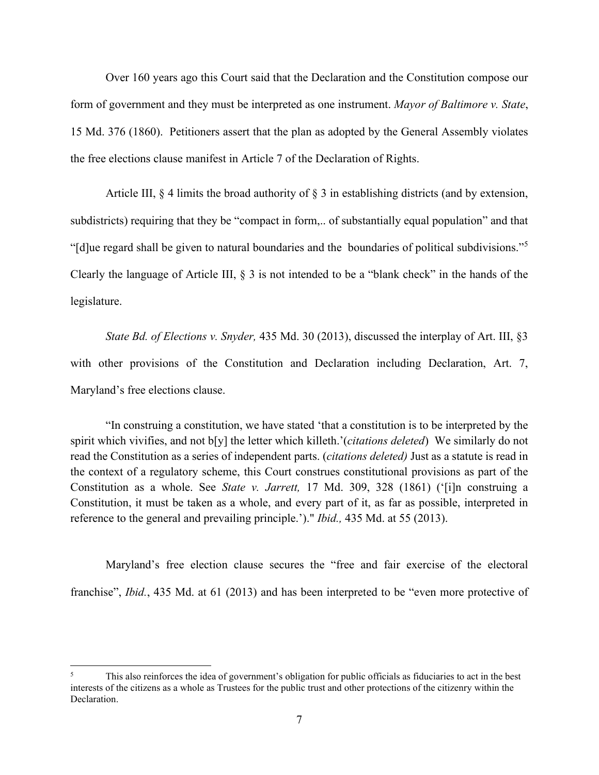Over 160 years ago this Court said that the Declaration and the Constitution compose our form of government and they must be interpreted as one instrument. *Mayor of Baltimore v. State*, 15 Md. 376 (1860). Petitioners assert that the plan as adopted by the General Assembly violates the free elections clause manifest in Article 7 of the Declaration of Rights.

Article III, § 4 limits the broad authority of § 3 in establishing districts (and by extension, subdistricts) requiring that they be "compact in form,.. of substantially equal population" and that "[d]ue regard shall be given to natural boundaries and the boundaries of political subdivisions."[5](#page-6-0) Clearly the language of Article III, § 3 is not intended to be a "blank check" in the hands of the legislature.

*State Bd. of Elections v. Snyder,* 435 Md. 30 (2013), discussed the interplay of Art. III, §3 with other provisions of the Constitution and Declaration including Declaration, Art. 7, Maryland's free elections clause.

"In construing a constitution, we have stated 'that a constitution is to be interpreted by the spirit which vivifies, and not b[y] the letter which killeth.'(*citations deleted*) We similarly do not read the Constitution as a series of independent parts. (*citations deleted)* Just as a statute is read in the context of a regulatory scheme, this Court construes constitutional provisions as part of the Constitution as a whole. See *State v. Jarrett,* 17 Md. 309, 328 (1861) ('[i]n construing a Constitution, it must be taken as a whole, and every part of it, as far as possible, interpreted in reference to the general and prevailing principle.')." *Ibid.,* 435 Md. at 55 (2013).

Maryland's free election clause secures the "free and fair exercise of the electoral franchise", *Ibid.*, 435 Md. at 61 (2013) and has been interpreted to be "even more protective of

<span id="page-6-0"></span><sup>5</sup> This also reinforces the idea of government's obligation for public officials as fiduciaries to act in the best interests of the citizens as a whole as Trustees for the public trust and other protections of the citizenry within the Declaration.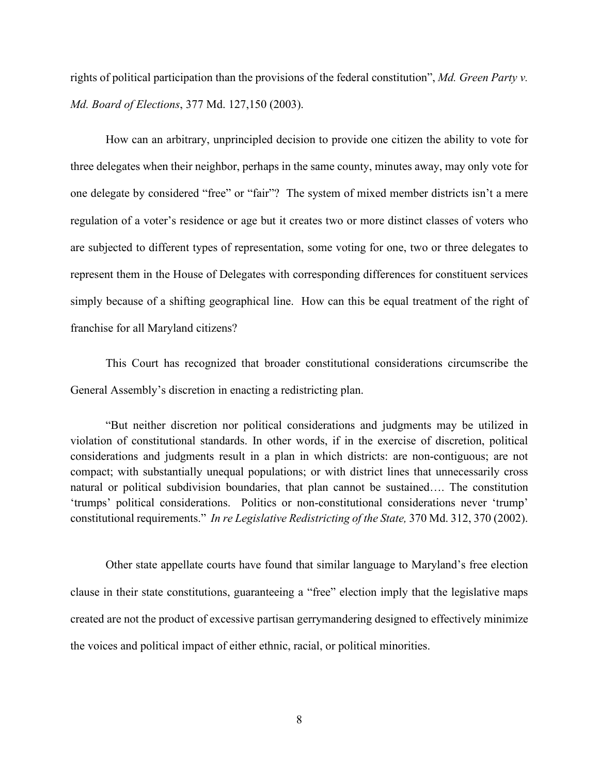rights of political participation than the provisions of the federal constitution", *Md. Green Party v. Md. Board of Elections*, 377 Md. 127,150 (2003).

How can an arbitrary, unprincipled decision to provide one citizen the ability to vote for three delegates when their neighbor, perhaps in the same county, minutes away, may only vote for one delegate by considered "free" or "fair"? The system of mixed member districts isn't a mere regulation of a voter's residence or age but it creates two or more distinct classes of voters who are subjected to different types of representation, some voting for one, two or three delegates to represent them in the House of Delegates with corresponding differences for constituent services simply because of a shifting geographical line. How can this be equal treatment of the right of franchise for all Maryland citizens?

This Court has recognized that broader constitutional considerations circumscribe the General Assembly's discretion in enacting a redistricting plan.

"But neither discretion nor political considerations and judgments may be utilized in violation of constitutional standards. In other words, if in the exercise of discretion, political considerations and judgments result in a plan in which districts: are non-contiguous; are not compact; with substantially unequal populations; or with district lines that unnecessarily cross natural or political subdivision boundaries, that plan cannot be sustained…. The constitution 'trumps' political considerations. Politics or non-constitutional considerations never 'trump' constitutional requirements." *In re Legislative Redistricting of the State,* 370 Md. 312, 370 (2002).

Other state appellate courts have found that similar language to Maryland's free election clause in their state constitutions, guaranteeing a "free" election imply that the legislative maps created are not the product of excessive partisan gerrymandering designed to effectively minimize the voices and political impact of either ethnic, racial, or political minorities.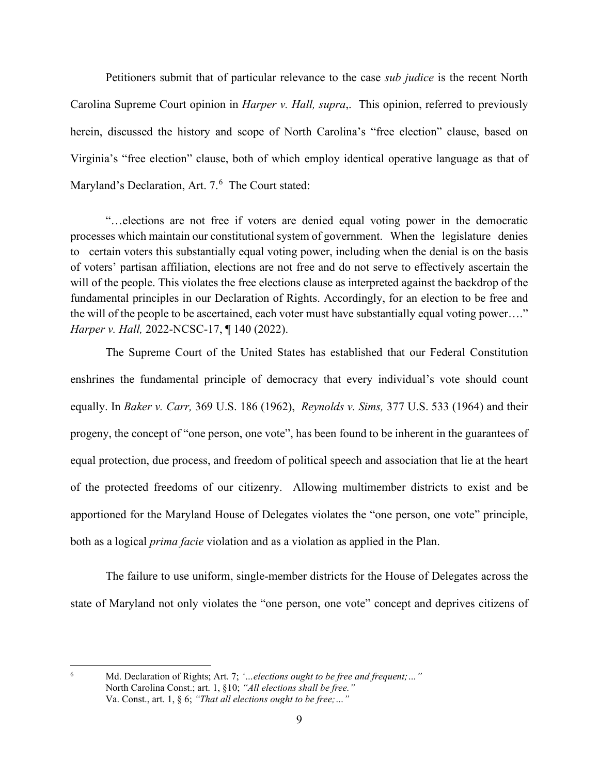Petitioners submit that of particular relevance to the case *sub judice* is the recent North Carolina Supreme Court opinion in *Harper v. Hall, supra*,. This opinion, referred to previously herein, discussed the history and scope of North Carolina's "free election" clause, based on Virginia's "free election" clause, both of which employ identical operative language as that of Maryland's Declaration, Art. 7.<sup>[6](#page-8-0)</sup> The Court stated:

"…elections are not free if voters are denied equal voting power in the democratic processes which maintain our constitutional system of government. When the legislature denies to certain voters this substantially equal voting power, including when the denial is on the basis of voters' partisan affiliation, elections are not free and do not serve to effectively ascertain the will of the people. This violates the free elections clause as interpreted against the backdrop of the fundamental principles in our Declaration of Rights. Accordingly, for an election to be free and the will of the people to be ascertained, each voter must have substantially equal voting power…." *Harper v. Hall,* 2022-NCSC-17, ¶ 140 (2022).

The Supreme Court of the United States has established that our Federal Constitution enshrines the fundamental principle of democracy that every individual's vote should count equally. In *Baker v. Carr,* 369 U.S. 186 (1962), *Reynolds v. Sims,* 377 U.S. 533 (1964) and their progeny, the concept of "one person, one vote", has been found to be inherent in the guarantees of equal protection, due process, and freedom of political speech and association that lie at the heart of the protected freedoms of our citizenry. Allowing multimember districts to exist and be apportioned for the Maryland House of Delegates violates the "one person, one vote" principle, both as a logical *prima facie* violation and as a violation as applied in the Plan.

The failure to use uniform, single-member districts for the House of Delegates across the state of Maryland not only violates the "one person, one vote" concept and deprives citizens of

<span id="page-8-0"></span><sup>6</sup> Md. Declaration of Rights; Art. 7; *'…elections ought to be free and frequent;…"* North Carolina Const.; art. 1, §10; *"All elections shall be free."* Va. Const., art. 1, § 6; *"That all elections ought to be free;…"*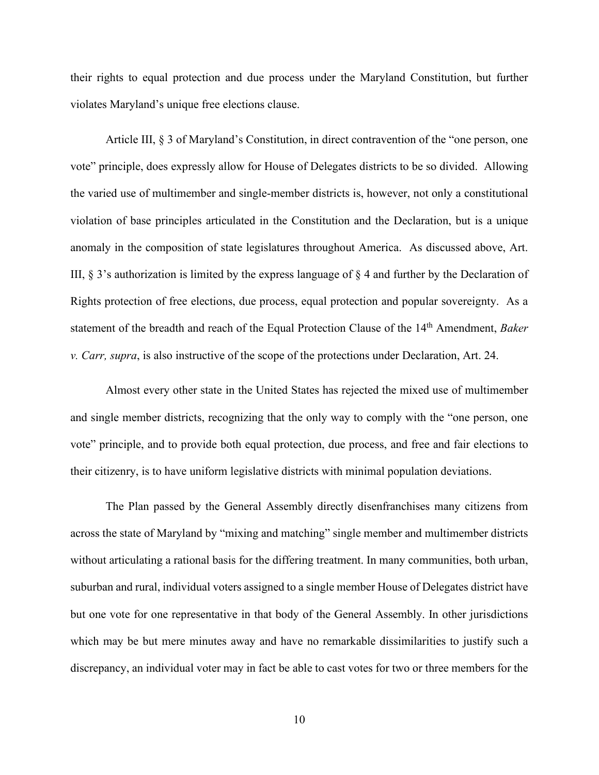their rights to equal protection and due process under the Maryland Constitution, but further violates Maryland's unique free elections clause.

Article III, § 3 of Maryland's Constitution, in direct contravention of the "one person, one vote" principle, does expressly allow for House of Delegates districts to be so divided. Allowing the varied use of multimember and single-member districts is, however, not only a constitutional violation of base principles articulated in the Constitution and the Declaration, but is a unique anomaly in the composition of state legislatures throughout America. As discussed above, Art. III, § 3's authorization is limited by the express language of § 4 and further by the Declaration of Rights protection of free elections, due process, equal protection and popular sovereignty. As a statement of the breadth and reach of the Equal Protection Clause of the 14<sup>th</sup> Amendment, *Baker v. Carr, supra*, is also instructive of the scope of the protections under Declaration, Art. 24.

Almost every other state in the United States has rejected the mixed use of multimember and single member districts, recognizing that the only way to comply with the "one person, one vote" principle, and to provide both equal protection, due process, and free and fair elections to their citizenry, is to have uniform legislative districts with minimal population deviations.

The Plan passed by the General Assembly directly disenfranchises many citizens from across the state of Maryland by "mixing and matching" single member and multimember districts without articulating a rational basis for the differing treatment. In many communities, both urban, suburban and rural, individual voters assigned to a single member House of Delegates district have but one vote for one representative in that body of the General Assembly. In other jurisdictions which may be but mere minutes away and have no remarkable dissimilarities to justify such a discrepancy, an individual voter may in fact be able to cast votes for two or three members for the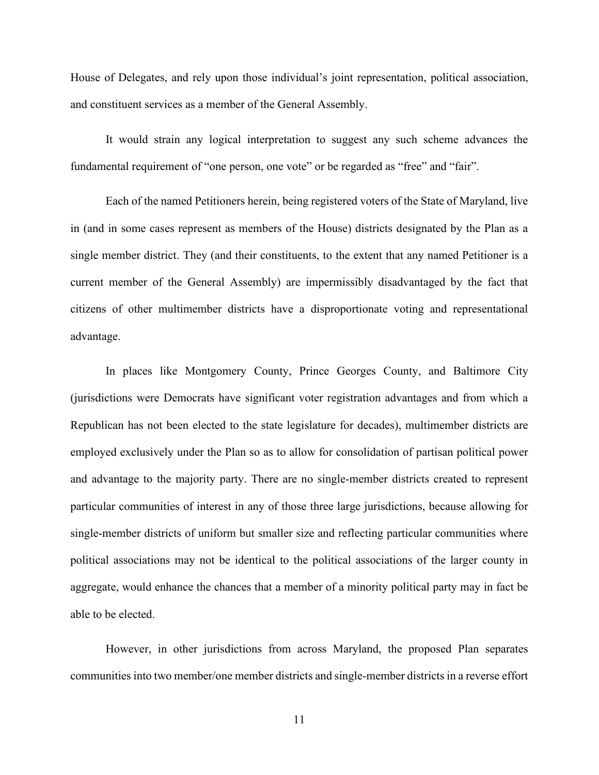House of Delegates, and rely upon those individual's joint representation, political association, and constituent services as a member of the General Assembly.

It would strain any logical interpretation to suggest any such scheme advances the fundamental requirement of "one person, one vote" or be regarded as "free" and "fair".

Each of the named Petitioners herein, being registered voters of the State of Maryland, live in (and in some cases represent as members of the House) districts designated by the Plan as a single member district. They (and their constituents, to the extent that any named Petitioner is a current member of the General Assembly) are impermissibly disadvantaged by the fact that citizens of other multimember districts have a disproportionate voting and representational advantage.

In places like Montgomery County, Prince Georges County, and Baltimore City (jurisdictions were Democrats have significant voter registration advantages and from which a Republican has not been elected to the state legislature for decades), multimember districts are employed exclusively under the Plan so as to allow for consolidation of partisan political power and advantage to the majority party. There are no single-member districts created to represent particular communities of interest in any of those three large jurisdictions, because allowing for single-member districts of uniform but smaller size and reflecting particular communities where political associations may not be identical to the political associations of the larger county in aggregate, would enhance the chances that a member of a minority political party may in fact be able to be elected.

However, in other jurisdictions from across Maryland, the proposed Plan separates communities into two member/one member districts and single-member districts in a reverse effort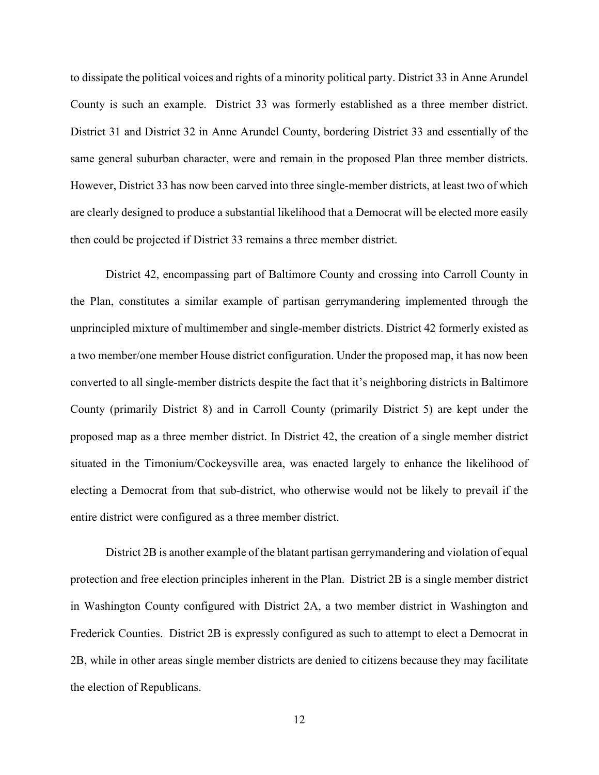to dissipate the political voices and rights of a minority political party. District 33 in Anne Arundel County is such an example. District 33 was formerly established as a three member district. District 31 and District 32 in Anne Arundel County, bordering District 33 and essentially of the same general suburban character, were and remain in the proposed Plan three member districts. However, District 33 has now been carved into three single-member districts, at least two of which are clearly designed to produce a substantial likelihood that a Democrat will be elected more easily then could be projected if District 33 remains a three member district.

District 42, encompassing part of Baltimore County and crossing into Carroll County in the Plan, constitutes a similar example of partisan gerrymandering implemented through the unprincipled mixture of multimember and single-member districts. District 42 formerly existed as a two member/one member House district configuration. Under the proposed map, it has now been converted to all single-member districts despite the fact that it's neighboring districts in Baltimore County (primarily District 8) and in Carroll County (primarily District 5) are kept under the proposed map as a three member district. In District 42, the creation of a single member district situated in the Timonium/Cockeysville area, was enacted largely to enhance the likelihood of electing a Democrat from that sub-district, who otherwise would not be likely to prevail if the entire district were configured as a three member district.

District 2B is another example of the blatant partisan gerrymandering and violation of equal protection and free election principles inherent in the Plan. District 2B is a single member district in Washington County configured with District 2A, a two member district in Washington and Frederick Counties. District 2B is expressly configured as such to attempt to elect a Democrat in 2B, while in other areas single member districts are denied to citizens because they may facilitate the election of Republicans.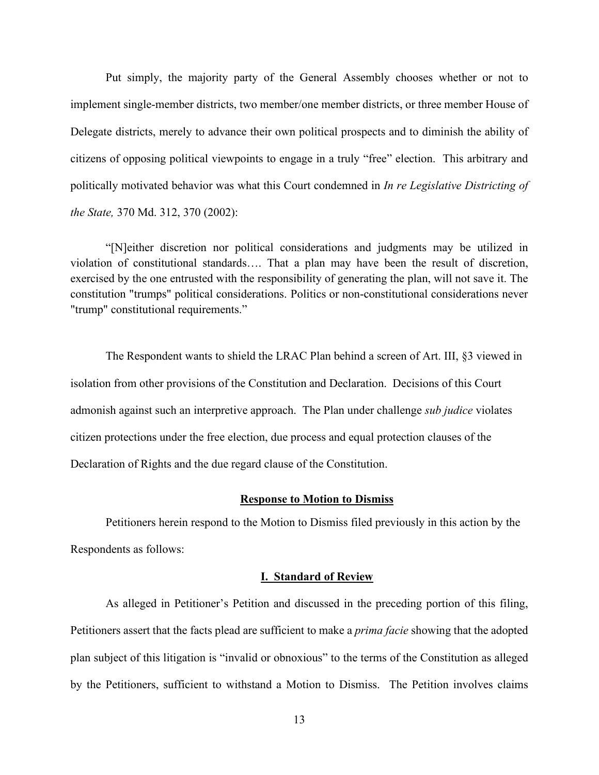Put simply, the majority party of the General Assembly chooses whether or not to implement single-member districts, two member/one member districts, or three member House of Delegate districts, merely to advance their own political prospects and to diminish the ability of citizens of opposing political viewpoints to engage in a truly "free" election. This arbitrary and politically motivated behavior was what this Court condemned in *In re Legislative Districting of the State,* 370 Md. 312, 370 (2002):

"[N]either discretion nor political considerations and judgments may be utilized in violation of constitutional standards…. That a plan may have been the result of discretion, exercised by the one entrusted with the responsibility of generating the plan, will not save it. The constitution "trumps" political considerations. Politics or non-constitutional considerations never "trump" constitutional requirements."

The Respondent wants to shield the LRAC Plan behind a screen of Art. III, §3 viewed in isolation from other provisions of the Constitution and Declaration. Decisions of this Court admonish against such an interpretive approach. The Plan under challenge *sub judice* violates citizen protections under the free election, due process and equal protection clauses of the Declaration of Rights and the due regard clause of the Constitution.

#### **Response to Motion to Dismiss**

Petitioners herein respond to the Motion to Dismiss filed previously in this action by the Respondents as follows:

#### **I. Standard of Review**

As alleged in Petitioner's Petition and discussed in the preceding portion of this filing, Petitioners assert that the facts plead are sufficient to make a *prima facie* showing that the adopted plan subject of this litigation is "invalid or obnoxious" to the terms of the Constitution as alleged by the Petitioners, sufficient to withstand a Motion to Dismiss. The Petition involves claims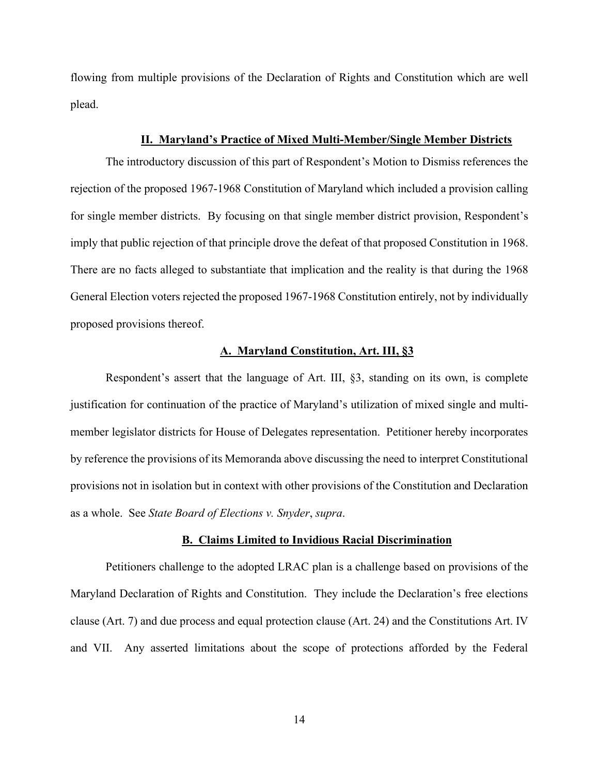flowing from multiple provisions of the Declaration of Rights and Constitution which are well plead.

#### **II. Maryland's Practice of Mixed Multi-Member/Single Member Districts**

The introductory discussion of this part of Respondent's Motion to Dismiss references the rejection of the proposed 1967-1968 Constitution of Maryland which included a provision calling for single member districts. By focusing on that single member district provision, Respondent's imply that public rejection of that principle drove the defeat of that proposed Constitution in 1968. There are no facts alleged to substantiate that implication and the reality is that during the 1968 General Election voters rejected the proposed 1967-1968 Constitution entirely, not by individually proposed provisions thereof.

#### **A. Maryland Constitution, Art. III, §3**

Respondent's assert that the language of Art. III, §3, standing on its own, is complete justification for continuation of the practice of Maryland's utilization of mixed single and multimember legislator districts for House of Delegates representation. Petitioner hereby incorporates by reference the provisions of its Memoranda above discussing the need to interpret Constitutional provisions not in isolation but in context with other provisions of the Constitution and Declaration as a whole. See *State Board of Elections v. Snyder*, *supra*.

#### **B. Claims Limited to Invidious Racial Discrimination**

Petitioners challenge to the adopted LRAC plan is a challenge based on provisions of the Maryland Declaration of Rights and Constitution. They include the Declaration's free elections clause (Art. 7) and due process and equal protection clause (Art. 24) and the Constitutions Art. IV and VII. Any asserted limitations about the scope of protections afforded by the Federal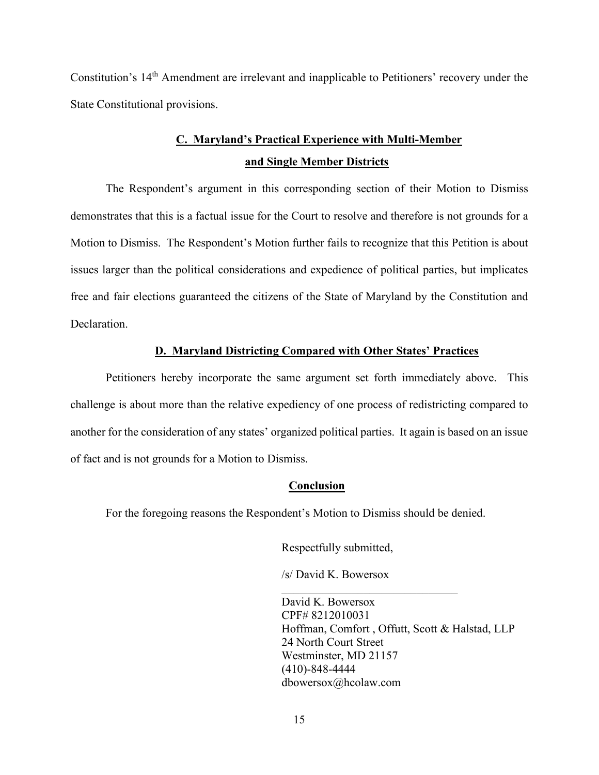Constitution's 14<sup>th</sup> Amendment are irrelevant and inapplicable to Petitioners' recovery under the State Constitutional provisions.

# **C. Maryland's Practical Experience with Multi-Member and Single Member Districts**

The Respondent's argument in this corresponding section of their Motion to Dismiss demonstrates that this is a factual issue for the Court to resolve and therefore is not grounds for a Motion to Dismiss. The Respondent's Motion further fails to recognize that this Petition is about issues larger than the political considerations and expedience of political parties, but implicates free and fair elections guaranteed the citizens of the State of Maryland by the Constitution and Declaration.

## **D. Maryland Districting Compared with Other States' Practices**

Petitioners hereby incorporate the same argument set forth immediately above. This challenge is about more than the relative expediency of one process of redistricting compared to another for the consideration of any states' organized political parties. It again is based on an issue of fact and is not grounds for a Motion to Dismiss.

#### **Conclusion**

For the foregoing reasons the Respondent's Motion to Dismiss should be denied.

Respectfully submitted,

/s/ David K. Bowersox

David K. Bowersox CPF# 8212010031 Hoffman, Comfort , Offutt, Scott & Halstad, LLP 24 North Court Street Westminster, MD 21157 (410)-848-4444 dbowersox@hcolaw.com